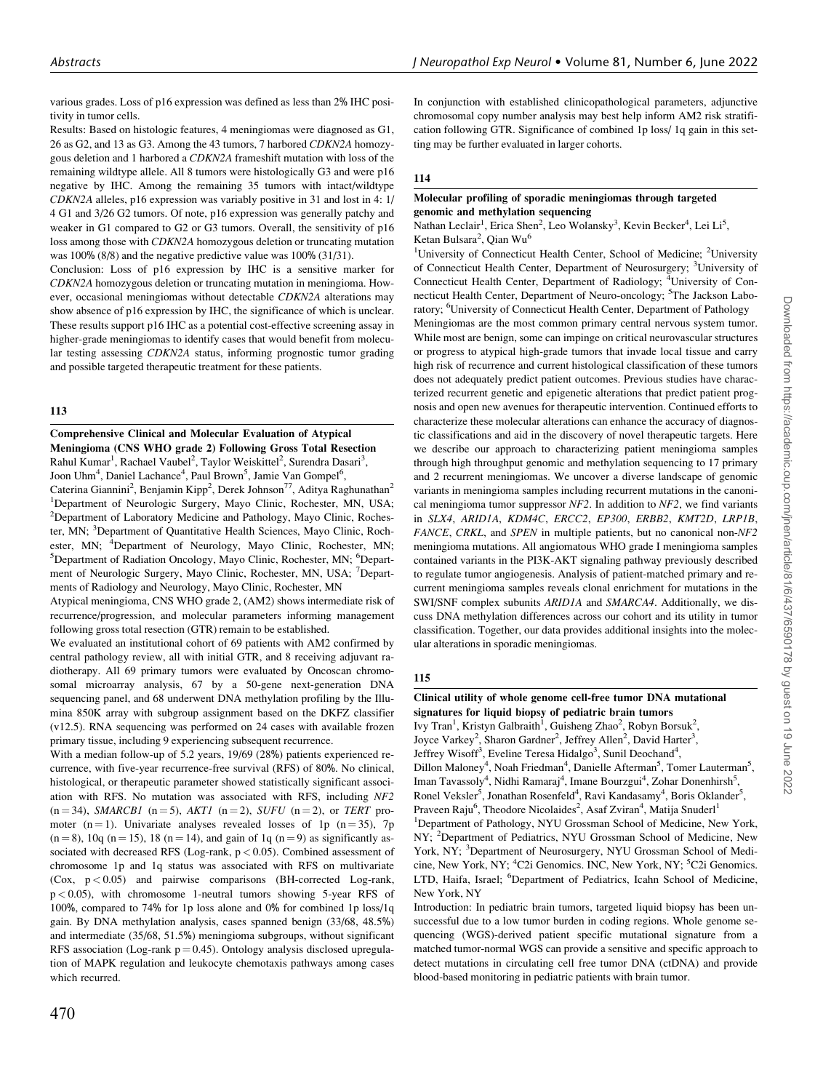various grades. Loss of p16 expression was defined as less than 2% IHC positivity in tumor cells.

Results: Based on histologic features, 4 meningiomas were diagnosed as G1, 26 as G2, and 13 as G3. Among the 43 tumors, 7 harbored CDKN2A homozygous deletion and 1 harbored a CDKN2A frameshift mutation with loss of the remaining wildtype allele. All 8 tumors were histologically G3 and were p16 negative by IHC. Among the remaining 35 tumors with intact/wildtype CDKN2A alleles, p16 expression was variably positive in 31 and lost in 4: 1/ 4 G1 and 3/26 G2 tumors. Of note, p16 expression was generally patchy and weaker in G1 compared to G2 or G3 tumors. Overall, the sensitivity of p16 loss among those with CDKN2A homozygous deletion or truncating mutation was 100% (8/8) and the negative predictive value was 100% (31/31).

Conclusion: Loss of p16 expression by IHC is a sensitive marker for CDKN2A homozygous deletion or truncating mutation in meningioma. However, occasional meningiomas without detectable CDKN2A alterations may show absence of p16 expression by IHC, the significance of which is unclear. These results support p16 IHC as a potential cost-effective screening assay in higher-grade meningiomas to identify cases that would benefit from molecular testing assessing CDKN2A status, informing prognostic tumor grading and possible targeted therapeutic treatment for these patients.

### 113

Comprehensive Clinical and Molecular Evaluation of Atypical Meningioma (CNS WHO grade 2) Following Gross Total Resection Rahul Kumar<sup>1</sup>, Rachael Vaubel<sup>2</sup>, Taylor Weiskittel<sup>2</sup>, Surendra Dasari<sup>3</sup>, Joon Uhm<sup>4</sup>, Daniel Lachance<sup>4</sup>, Paul Brown<sup>5</sup>, Jamie Van Gompel<sup>6</sup>, Caterina Giannini<sup>2</sup>, Benjamin Kipp<sup>2</sup>, Derek Johnson<sup>77</sup>, Aditya Raghunathan<sup>2</sup> <sup>1</sup>Department of Neurologic Surgery, Mayo Clinic, Rochester, MN, USA; <sup>2</sup>Department of Laboratory Medicine and Pathology, Mayo Clinic, Rochester, MN; <sup>3</sup>Department of Quantitative Health Sciences, Mayo Clinic, Rochester, MN; <sup>4</sup>Department of Neurology, Mayo Clinic, Rochester, MN; <sup>5</sup>Department of Bediation Ongelsey, Mayo Clinic, Begheeter, MN; <sup>5</sup>Depart Department of Radiation Oncology, Mayo Clinic, Rochester, MN; <sup>6</sup>Department of Neurologic Surgery, Mayo Clinic, Rochester, MN, USA; <sup>7</sup>Departments of Radiology and Neurology, Mayo Clinic, Rochester, MN

Atypical meningioma, CNS WHO grade 2, (AM2) shows intermediate risk of recurrence/progression, and molecular parameters informing management following gross total resection (GTR) remain to be established.

We evaluated an institutional cohort of 69 patients with AM2 confirmed by central pathology review, all with initial GTR, and 8 receiving adjuvant radiotherapy. All 69 primary tumors were evaluated by Oncoscan chromosomal microarray analysis, 67 by a 50-gene next-generation DNA sequencing panel, and 68 underwent DNA methylation profiling by the Illumina 850K array with subgroup assignment based on the DKFZ classifier (v12.5). RNA sequencing was performed on 24 cases with available frozen primary tissue, including 9 experiencing subsequent recurrence.

With a median follow-up of 5.2 years, 19/69 (28%) patients experienced recurrence, with five-year recurrence-free survival (RFS) of 80%. No clinical, histological, or therapeutic parameter showed statistically significant association with RFS. No mutation was associated with RFS, including NF2  $(n = 34)$ , SMARCB1  $(n = 5)$ , AKT1  $(n = 2)$ , SUFU  $(n = 2)$ , or TERT promoter (n = 1). Univariate analyses revealed losses of 1p (n = 35), 7p  $(n = 8)$ , 10q  $(n = 15)$ , 18  $(n = 14)$ , and gain of 1q  $(n = 9)$  as significantly associated with decreased RFS (Log-rank, p < 0.05). Combined assessment of chromosome 1p and 1q status was associated with RFS on multivariate (Cox, p < 0.05) and pairwise comparisons (BH-corrected Log-rank, p < 0.05), with chromosome 1-neutral tumors showing 5-year RFS of 100%, compared to 74% for 1p loss alone and 0% for combined 1p loss/1q gain. By DNA methylation analysis, cases spanned benign (33/68, 48.5%) and intermediate (35/68, 51.5%) meningioma subgroups, without significant RFS association (Log-rank  $p = 0.45$ ). Ontology analysis disclosed upregulation of MAPK regulation and leukocyte chemotaxis pathways among cases which recurred.

In conjunction with established clinicopathological parameters, adjunctive chromosomal copy number analysis may best help inform AM2 risk stratification following GTR. Significance of combined 1p loss/ 1q gain in this setting may be further evaluated in larger cohorts.

# 114

#### Molecular profiling of sporadic meningiomas through targeted genomic and methylation sequencing

Nathan Leclair<sup>1</sup>, Erica Shen<sup>2</sup>, Leo Wolansky<sup>3</sup>, Kevin Becker<sup>4</sup>, Lei Li<sup>5</sup> Ketan Bulsara<sup>2</sup>, Qian Wu<sup>6</sup>

<sup>1</sup>University of Connecticut Health Center, School of Medicine; <sup>2</sup>University of Connecticut Health Center, Department of Neurosurgery; <sup>3</sup>University of Connecticut Health Center, Department of Radiology; <sup>4</sup>University of Connecticut Health Center, Department of Neuro-oncology; <sup>5</sup>The Jackson Laboratory; <sup>6</sup>University of Connecticut Health Center, Department of Pathology Meningiomas are the most common primary central nervous system tumor. While most are benign, some can impinge on critical neurovascular structures or progress to atypical high-grade tumors that invade local tissue and carry high risk of recurrence and current histological classification of these tumors does not adequately predict patient outcomes. Previous studies have characterized recurrent genetic and epigenetic alterations that predict patient prognosis and open new avenues for therapeutic intervention. Continued efforts to characterize these molecular alterations can enhance the accuracy of diagnostic classifications and aid in the discovery of novel therapeutic targets. Here we describe our approach to characterizing patient meningioma samples through high throughput genomic and methylation sequencing to 17 primary and 2 recurrent meningiomas. We uncover a diverse landscape of genomic variants in meningioma samples including recurrent mutations in the canonical meningioma tumor suppressor  $NF2$ . In addition to  $NF2$ , we find variants in SLX4, ARID1A, KDM4C, ERCC2, EP300, ERBB2, KMT2D, LRP1B, FANCE, CRKL, and SPEN in multiple patients, but no canonical non-NF2 meningioma mutations. All angiomatous WHO grade I meningioma samples contained variants in the PI3K-AKT signaling pathway previously described to regulate tumor angiogenesis. Analysis of patient-matched primary and recurrent meningioma samples reveals clonal enrichment for mutations in the SWI/SNF complex subunits ARID1A and SMARCA4. Additionally, we discuss DNA methylation differences across our cohort and its utility in tumor classification. Together, our data provides additional insights into the molecular alterations in sporadic meningiomas.

# 115

Clinical utility of whole genome cell-free tumor DNA mutational signatures for liquid biopsy of pediatric brain tumors Ivy Tran<sup>1</sup>, Kristyn Galbraith<sup>1</sup>, Guisheng Zhao<sup>2</sup>, Robyn Borsuk<sup>2</sup>,

Joyce Varkey<sup>2</sup>, Sharon Gardner<sup>2</sup>, Jeffrey Allen<sup>2</sup>, David Harter<sup>3</sup>, Jeffrey Wisoff<sup>3</sup>, Eveline Teresa Hidalgo<sup>3</sup>, Sunil Deochand<sup>4</sup>, Dillon Maloney<sup>4</sup>, Noah Friedman<sup>4</sup>, Danielle Afterman<sup>5</sup>, Tomer Lauterman<sup>5</sup>,

Iman Tavassoly<sup>4</sup>, Nidhi Ramaraj<sup>4</sup>, Imane Bourzgui<sup>4</sup>, Zohar Donenhirsh<sup>5</sup>, Ronel Veksler<sup>5</sup>, Jonathan Rosenfeld<sup>4</sup>, Ravi Kandasamy<sup>4</sup>, Boris Oklander<sup>5</sup>, Praveen Raju<sup>6</sup>, Theodore Nicolaides<sup>2</sup>, Asaf Zviran<sup>4</sup>, Matija Snuderl<sup>1</sup>

<sup>1</sup>Department of Pathology, NYU Grossman School of Medicine, New York, NY; <sup>2</sup>Department of Pediatrics, NYU Grossman School of Medicine, New York, NY; <sup>3</sup>Department of Neurosurgery, NYU Grossman School of Medicine, New York, NY; <sup>4</sup>C2i Genomics. INC, New York, NY; <sup>5</sup>C2i Genomics. LTD, Haifa, Israel; <sup>6</sup>Department of Pediatrics, Icahn School of Medicine, New York, NY

Introduction: In pediatric brain tumors, targeted liquid biopsy has been unsuccessful due to a low tumor burden in coding regions. Whole genome sequencing (WGS)-derived patient specific mutational signature from a matched tumor-normal WGS can provide a sensitive and specific approach to detect mutations in circulating cell free tumor DNA (ctDNA) and provide blood-based monitoring in pediatric patients with brain tumor.